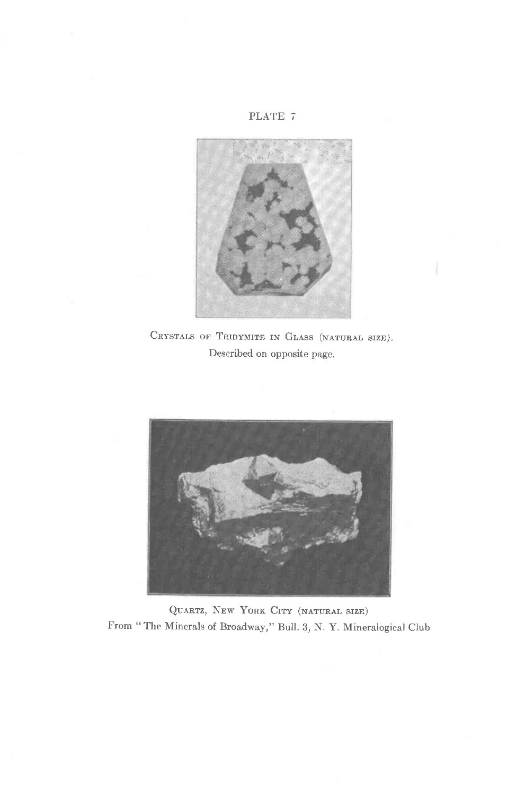### PLATE 7



CRYSTALS OF TRIDYMITE IN GLASS (NATURAL SIZE). Described on opposite page.



QUARTZ, NEW YORK CITY (NATURAL SIZE) From "The Minerals of Broadway," Bull. 3, N. Y. Mineralogical Club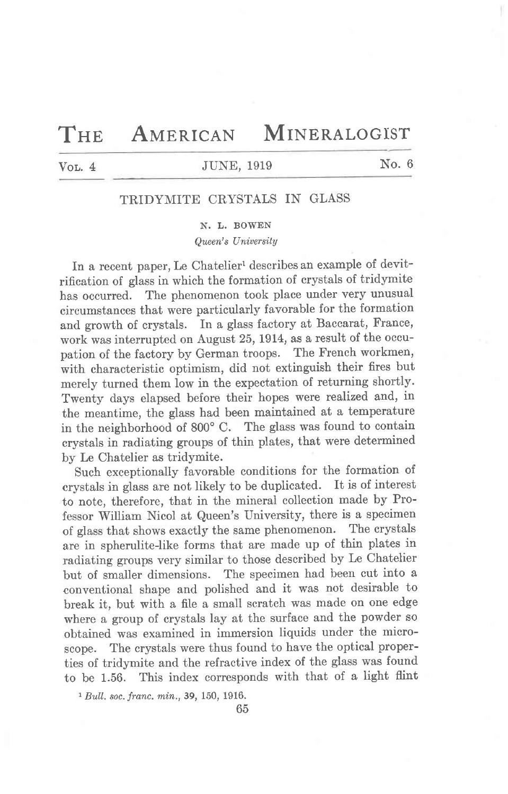# THE AMERICAN MINERALOGIST

# VOL. 4 JUNE, 1919 No. 6

## TRIDYMITE CRYSTALS IN GLASS

#### N. I,. BOWEN

Queen's Uniuersily

In a recent paper, Le Chatelier<sup>1</sup> describes an example of devitrification of glass in which the formation of crystals of tridymite has occurred. The phenomenon took place under very unusual circumstances that were particularly favorable for the formation and growth of crystals. In a glass factory at Baccarat, France, work was interrupted on August 25, 1914, as a result of the occupation of the factory by German troops. The French workmen, with characteristic optimism, did not extinguish their fires but merely turned them low in the expectation of returning shortly. Twenty days elapsed before their hopes were realized and, in the meantime, the glass had been maintained at a temperature<br>in the neighborhood of  $800^{\circ}$  C. The glass was found to contain in the neighborhood of  $800^{\circ}$  C. crystals in radiating groups of thin plates, that were determined by Le Chatelier as tridymite.

Such exceptionally favorable conditions for the formation of crystals in glass are not likely to be duplicated. It is of interest to note, therefore, that in the mineral collection made by Professor William Nicol at Queen's University, there is a specimen of glass that shows exactly the same phenomenon. The crystals are in spherulite-like forms that are made up of thin plates in radiating groups very similar to those described by Le Chatelier but of smaller dimensions. The specimen had been cut into a conventional shape and polished and it was not desirable to break it, but with a file a small scratch was made on one edge where a group of crystals lay at the surface and the powder so obtained was examined in immersion liquids under the microscope. The crystals were thus found to have the optical properties of tridymite and the refractive index of the glass was found to be 1.56. This index corresponds with that of a Iight flint

1 Bull. soc. franc. min.,39, 150, 1916.